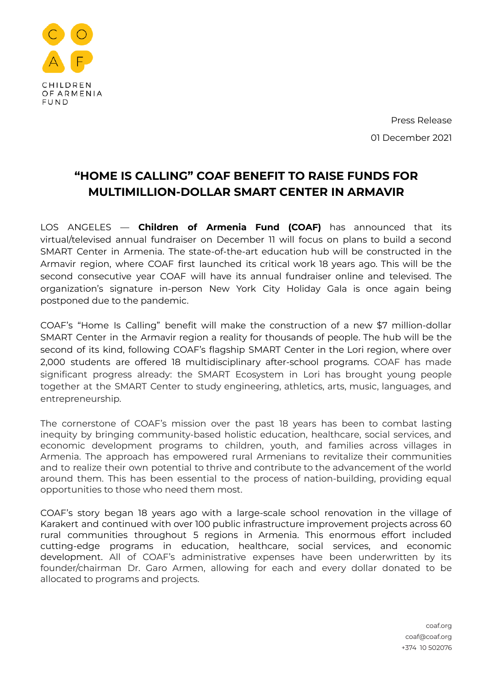

Press Release 01 December 2021

## **"HOME IS CALLING" COAF BENEFIT TO RAISE FUNDS FOR MULTIMILLION-DOLLAR SMART CENTER IN ARMAVIR**

LOS ANGELES — **Children of Armenia Fund (COAF)** has announced that its virtual/televised annual fundraiser on December 11 will focus on plans to build a second SMART Center in Armenia. The state-of-the-art education hub will be constructed in the Armavir region, where COAF first launched its critical work 18 years ago. This will be the second consecutive year COAF will have its annual fundraiser online and televised. The organization's signature in-person New York City Holiday Gala is once again being postponed due to the pandemic.

COAF's "Home Is Calling" benefit will make the construction of a new \$7 million-dollar SMART Center in the Armavir region a reality for thousands of people. The hub will be the second of its kind, following COAF's flagship SMART Center in the Lori region, where over 2,000 students are offered 18 multidisciplinary after-school programs. COAF has made significant progress already: the SMART Ecosystem in Lori has brought young people together at the SMART Center to study engineering, athletics, arts, music, languages, and entrepreneurship.

The cornerstone of COAF's mission over the past 18 years has been to combat lasting inequity by bringing community-based holistic education, healthcare, social services, and economic development programs to children, youth, and families across villages in Armenia. The approach has empowered rural Armenians to revitalize their communities and to realize their own potential to thrive and contribute to the advancement of the world around them. This has been essential to the process of nation-building, providing equal opportunities to those who need them most.

COAF's story began 18 years ago with a large-scale school renovation in the village of Karakert and continued with over 100 public infrastructure improvement projects across 60 rural communities throughout 5 regions in Armenia. This enormous effort included cutting-edge programs in education, healthcare, social services, and economic development. All of COAF's administrative expenses have been underwritten by its founder/chairman Dr. Garo Armen, allowing for each and every dollar donated to be allocated to programs and projects.

> coaf.org coaf@coaf.org +374 10 502076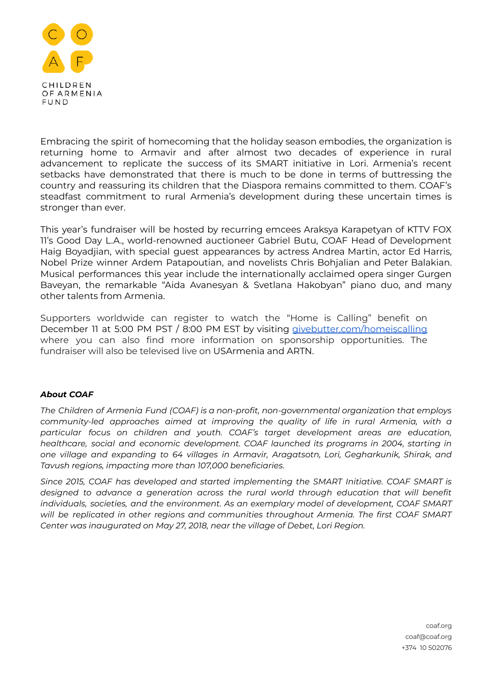

Embracing the spirit of homecoming that the holiday season embodies, the organization is returning home to Armavir and after almost two decades of experience in rural advancement to replicate the success of its SMART initiative in Lori. Armenia's recent setbacks have demonstrated that there is much to be done in terms of buttressing the country and reassuring its children that the Diaspora remains committed to them. COAF's steadfast commitment to rural Armenia's development during these uncertain times is stronger than ever.

This year's fundraiser will be hosted by recurring emcees Araksya Karapetyan of KTTV FOX 11's Good Day L.A., world-renowned auctioneer Gabriel Butu, COAF Head of Development Haig Boyadjian, with special guest appearances by actress Andrea Martin, actor Ed Harris, Nobel Prize winner Ardem Patapoutian, and novelists Chris Bohjalian and Peter Balakian. Musical performances this year include the internationally acclaimed opera singer Gurgen Baveyan, the remarkable "Aida Avanesyan & Svetlana Hakobyan" piano duo, and many other talents from Armenia.

Supporters worldwide can register to watch the "Home is Calling" benefit on December 11 at 5:00 PM PST / 8:00 PM EST by visiting [givebutter.com/homeiscalling](http://givebutter.com/homeiscalling) where you can also find more information on sponsorship opportunities. The fundraiser will also be televised live on USArmenia and ARTN.

## *About COAF*

*The Children of Armenia Fund (COAF) is a non-profit, non-governmental organization that employs community-led approaches aimed at improving the quality of life in rural Armenia, with a particular focus on children and youth. COAF's target development areas are education, healthcare, social and economic development. COAF launched its programs in 2004, starting in one village and expanding to 64 villages in Armavir, Aragatsotn, Lori, Gegharkunik, Shirak, and Tavush regions, impacting more than 107,000 beneficiaries.*

*Since 2015, COAF has developed and started implementing the SMART Initiative. COAF SMART is designed to advance a generation across the rural world through education that will benefit individuals, societies, and the environment. As an exemplary model of development, COAF SMART will be replicated in other regions and communities throughout Armenia. The first COAF SMART Center was inaugurated on May 27, 2018, near the village of Debet, Lori Region.*